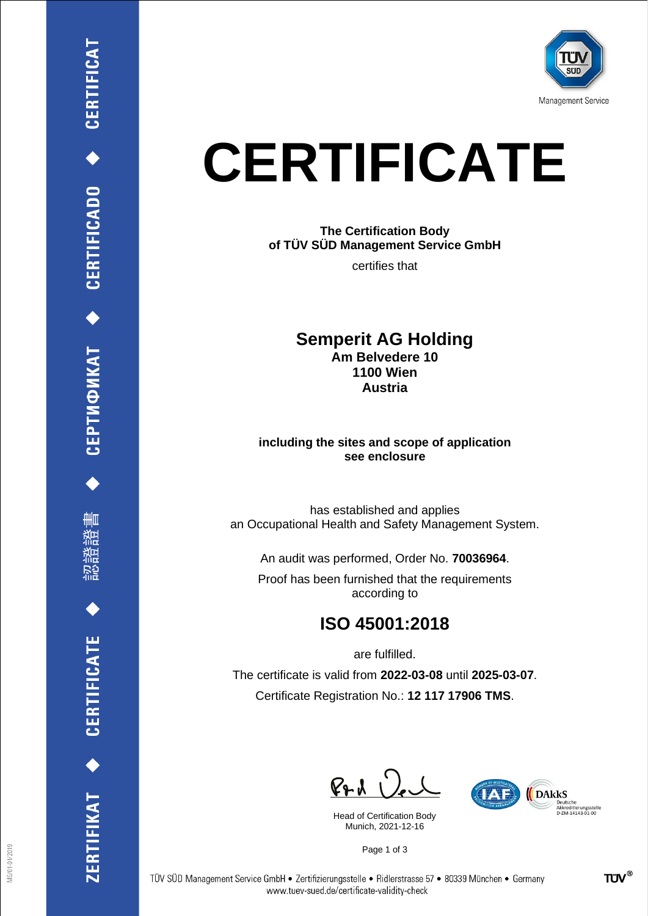

## **CERTIFICATE**

**The Certification Body of TÜV SÜD Management Service GmbH**

certifies that

**Semperit AG Holding Am Belvedere 10 1100 Wien Austria**

**including the sites and scope of application see enclosure**

has established and applies an Occupational Health and Safety Management System.

An audit was performed, Order No. **70036964**.

Proof has been furnished that the requirements according to

## **ISO 45001:2018**

are fulfilled.

The certificate is valid from **2022-03-08** until **2025-03-07**. Certificate Registration No.: **12 117 17906 TMS**.

 $P + U$ 

Head of Certification Body Munich, 2021-12-16



Page 1 of 3

CEPTИФИКАТ ◆ CERTIFICADO ◆ CERTIFICAT

刪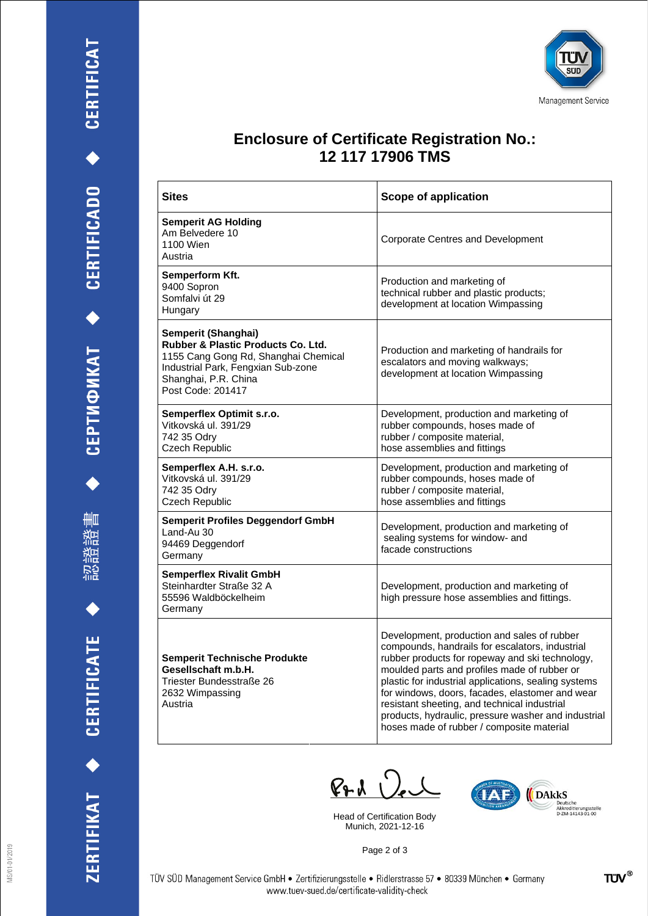





## **Enclosure of Certificate Registration No.: 12 117 17906 TMS**

| <b>Sites</b>                                                                                                                                                                                    | <b>Scope of application</b>                                                                                                                                                                                                                                                                                                                                                                                                                                      |
|-------------------------------------------------------------------------------------------------------------------------------------------------------------------------------------------------|------------------------------------------------------------------------------------------------------------------------------------------------------------------------------------------------------------------------------------------------------------------------------------------------------------------------------------------------------------------------------------------------------------------------------------------------------------------|
| <b>Semperit AG Holding</b><br>Am Belvedere 10<br>1100 Wien<br>Austria                                                                                                                           | Corporate Centres and Development                                                                                                                                                                                                                                                                                                                                                                                                                                |
| Semperform Kft.<br>9400 Sopron<br>Somfalvi út 29<br>Hungary                                                                                                                                     | Production and marketing of<br>technical rubber and plastic products;<br>development at location Wimpassing                                                                                                                                                                                                                                                                                                                                                      |
| Semperit (Shanghai)<br><b>Rubber &amp; Plastic Products Co. Ltd.</b><br>1155 Cang Gong Rd, Shanghai Chemical<br>Industrial Park, Fengxian Sub-zone<br>Shanghai, P.R. China<br>Post Code: 201417 | Production and marketing of handrails for<br>escalators and moving walkways;<br>development at location Wimpassing                                                                                                                                                                                                                                                                                                                                               |
| Semperflex Optimit s.r.o.<br>Vitkovská ul. 391/29<br>742 35 Odrv<br>Czech Republic                                                                                                              | Development, production and marketing of<br>rubber compounds, hoses made of<br>rubber / composite material,<br>hose assemblies and fittings                                                                                                                                                                                                                                                                                                                      |
| Semperflex A.H. s.r.o.<br>Vitkovská ul. 391/29<br>742 35 Odry<br>Czech Republic                                                                                                                 | Development, production and marketing of<br>rubber compounds, hoses made of<br>rubber / composite material,<br>hose assemblies and fittings                                                                                                                                                                                                                                                                                                                      |
| <b>Semperit Profiles Deggendorf GmbH</b><br>Land-Au 30<br>94469 Deggendorf<br>Germany                                                                                                           | Development, production and marketing of<br>sealing systems for window- and<br>facade constructions                                                                                                                                                                                                                                                                                                                                                              |
| <b>Semperflex Rivalit GmbH</b><br>Steinhardter Straße 32 A<br>55596 Waldböckelheim<br>Germany                                                                                                   | Development, production and marketing of<br>high pressure hose assemblies and fittings.                                                                                                                                                                                                                                                                                                                                                                          |
| <b>Semperit Technische Produkte</b><br>Gesellschaft m.b.H.<br>Triester Bundesstraße 26<br>2632 Wimpassing<br>Austria                                                                            | Development, production and sales of rubber<br>compounds, handrails for escalators, industrial<br>rubber products for ropeway and ski technology,<br>moulded parts and profiles made of rubber or<br>plastic for industrial applications, sealing systems<br>for windows, doors, facades, elastomer and wear<br>resistant sheeting, and technical industrial<br>products, hydraulic, pressure washer and industrial<br>hoses made of rubber / composite material |

 $P + \lambda$ 

Head of Certification Body Munich, 2021-12-16



Page 2 of 3